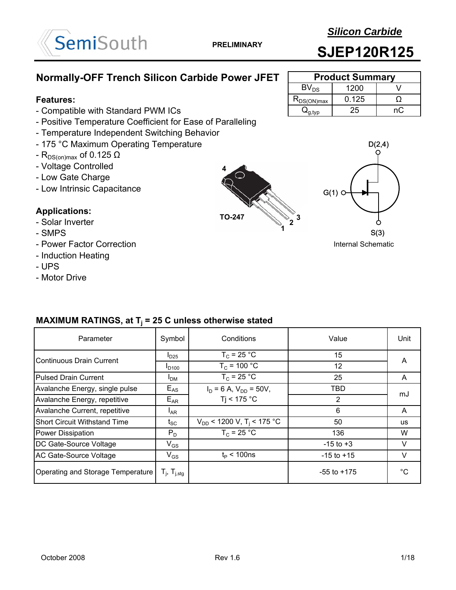

## **SJEP120R125**

1200 0.125

**Product Summary**

 $BV_{DS}$ 

 $R_{DS(ON)max}$ 

 $Q_{q, \text{typ}}$  25

Ω

nC

V

### **Normally-OFF Trench Silicon Carbide Power JFET**

### **Features:**

- Compatible with Standard PWM ICs
- Positive Temperature Coefficient for Ease of Paralleling
- Temperature Independent Switching Behavior
- 175 °C Maximum Operating Temperature
- $R_{DS(on)max}$  of 0.125 Ω
- Voltage Controlled
- Low Gate Charge
- Low Intrinsic Capacitance

### **Applications:**

- Solar Inverter
- SMPS
- Power Factor Correction **Internal Schematic**
- Induction Heating
- UPS
- Motor Drive

| 4             |        |
|---------------|--------|
| <b>TO-247</b> | 3<br>2 |



| MAXIMUM RATINGS, at $T_i = 25$ C unless otherwise stated |  |
|----------------------------------------------------------|--|
|                                                          |  |

| Parameter                           | Symbol                        | Conditions                                 | Value           | Unit         |  |
|-------------------------------------|-------------------------------|--------------------------------------------|-----------------|--------------|--|
| Continuous Drain Current            | I <sub>D25</sub>              | $T_c = 25 °C$                              | 15              | A            |  |
|                                     | $I_{D100}$                    | $T_c = 100 °C$                             | 12              |              |  |
| <b>Pulsed Drain Current</b>         | <b>I<sub>DM</sub></b>         | $T_c = 25 °C$                              | 25              | A            |  |
| Avalanche Energy, single pulse      | $E_{AS}$                      | $I_D = 6$ A, $V_{DD} = 50V$ ,              | <b>TBD</b>      | mJ           |  |
| Avalanche Energy, repetitive        | $E_{AR}$                      | Ti < 175 °C                                | $\overline{2}$  |              |  |
| Avalanche Current, repetitive       | <sup>I</sup> AR               |                                            | 6               | A            |  |
| <b>Short Circuit Withstand Time</b> | $\mathsf{t}_{\text{SC}}$      | $V_{DD}$ < 1200 V, T <sub>i</sub> < 175 °C | 50              | <b>us</b>    |  |
| Power Dissipation                   | $P_D$                         | $T_c = 25 °C$                              | 136             | W            |  |
| DC Gate-Source Voltage              | $\mathsf{V}_{\mathsf{GS}}$    |                                            | $-15$ to $+3$   | V            |  |
| AC Gate-Source Voltage              | $\mathsf{V}_{\mathsf{GS}}$    | $t_{\rm P}$ < 100ns                        | $-15$ to $+15$  | V            |  |
| Operating and Storage Temperature   | $T_{j}$ , $T_{j, \text{stg}}$ |                                            | $-55$ to $+175$ | $^{\circ}$ C |  |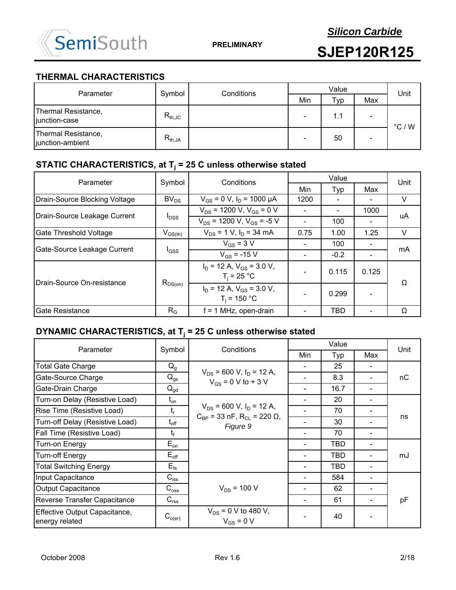

## **SJEP120R125**

### **THERMAL CHARACTERISTICS**

| Parameter                               | Symbol      | Conditions | Value                    |     |     | Unit            |
|-----------------------------------------|-------------|------------|--------------------------|-----|-----|-----------------|
|                                         |             |            | Min                      | Typ | Max |                 |
| Thermal Resistance,<br>junction-case    | $R_{th,JC}$ |            | $\overline{\phantom{0}}$ | 1.1 |     | $\degree$ C / W |
| Thermal Resistance,<br>junction-ambient | $R_{th,JA}$ |            |                          | 50  |     |                 |

### **STATIC CHARACTERISTICS, at Tj = 25 C unless otherwise stated**

| Parameter                     | Symbol                                   | Conditions                                        | Value |        |       | Unit   |
|-------------------------------|------------------------------------------|---------------------------------------------------|-------|--------|-------|--------|
|                               |                                          |                                                   | Min   | Typ    | Max   |        |
| Drain-Source Blocking Voltage | $BV_{DS}$                                | $V_{GS}$ = 0 V, $I_D$ = 1000 µA                   | 1200  |        |       | $\vee$ |
| Drain-Source Leakage Current  | $I_{DSS}$                                | $V_{DS}$ = 1200 V, V <sub>GS</sub> = 0 V          |       |        | 1000  | uA     |
|                               |                                          | $V_{DS}$ = 1200 V, V <sub>GS</sub> = -5 V         |       | 100    |       |        |
| <b>Gate Threshold Voltage</b> | $\mathsf{V}_{\mathsf{GS}(\mathsf{th})}$  | $V_{DS}$ = 1 V, I <sub>D</sub> = 34 mA            | 0.75  | 1.00   | 1.25  | V      |
| Gate-Source Leakage Current   | $I_{GSS}$                                | $V_{GS}$ = 3 V                                    |       | 100    |       | mA     |
|                               |                                          | $V_{GS}$ = -15 V                                  |       | $-0.2$ |       |        |
| Drain-Source On-resistance    | $\mathsf{R}_{\mathsf{DS}( \mathsf{on})}$ | $I_D$ = 12 A, $V_{GS}$ = 3.0 V,<br>$T_i = 25 °C$  |       | 0.115  | 0.125 | Ω      |
|                               |                                          | $I_D$ = 12 A, $V_{GS}$ = 3.0 V,<br>$T_i = 150 °C$ |       | 0.299  |       |        |
| <b>Gate Resistance</b>        | $R_G$                                    | $f = 1$ MHz, open-drain                           |       | TBD    |       | Ω      |

### **DYNAMIC CHARACTERISTICS, at Tj = 25 C unless otherwise stated**

| Parameter                                       | Symbol                        | Conditions                                                          | Value |      |     |      |
|-------------------------------------------------|-------------------------------|---------------------------------------------------------------------|-------|------|-----|------|
|                                                 |                               |                                                                     | Min   | Typ  | Max | Unit |
| <b>Total Gate Charge</b>                        | $Q_q$                         |                                                                     |       | 25   |     |      |
| Gate-Source Charge                              | $Q_{gs}$                      | $V_{DS}$ = 600 V, I <sub>D</sub> = 12 A,<br>$V_{GS} = 0 V to + 3 V$ |       | 8.3  |     | nС   |
| Gate-Drain Charge                               | $Q_{gd}$                      |                                                                     |       | 16.7 |     |      |
| Turn-on Delay (Resistive Load)                  | $t_{on}$                      |                                                                     |       | 20   |     |      |
| Rise Time (Resistive Load)                      | $t_{r}$                       | $V_{DS}$ = 600 V, I <sub>D</sub> = 12 A,                            |       | 70   |     | ns   |
| Turn-off Delay (Resistive Load)                 | $\mathfrak{t}_{\mathsf{off}}$ | $C_{BP}$ = 33 nF, R <sub>Cl</sub> = 220 Ω,<br>Figure 9              |       | 30   |     |      |
| Fall Time (Resistive Load)                      | $t_{\rm f}$                   |                                                                     |       | 70   |     |      |
| Turn-on Energy                                  | $E_{on}$                      |                                                                     |       | TBD  |     |      |
| <b>Turn-off Energy</b>                          | $E_{\text{off}}$              |                                                                     |       | TBD  |     | mJ   |
| <b>Total Switching Energy</b>                   | $E_{ts}$                      |                                                                     |       | TBD  |     |      |
| Input Capacitance                               | $C_{iss}$                     |                                                                     |       | 584  |     |      |
| <b>Output Capacitance</b>                       | $C_{\rm oss}$                 | $V_{DS}$ = 100 V                                                    |       | 62   |     |      |
| Reverse Transfer Capacitance                    | $C_{\text{rss}}$              |                                                                     |       | 61   |     | pF   |
| Effective Output Capacitance,<br>energy related | $C_{o(er)}$                   | $V_{DS}$ = 0 V to 480 V,<br>$V_{GS} = 0 V$                          |       | 40   |     |      |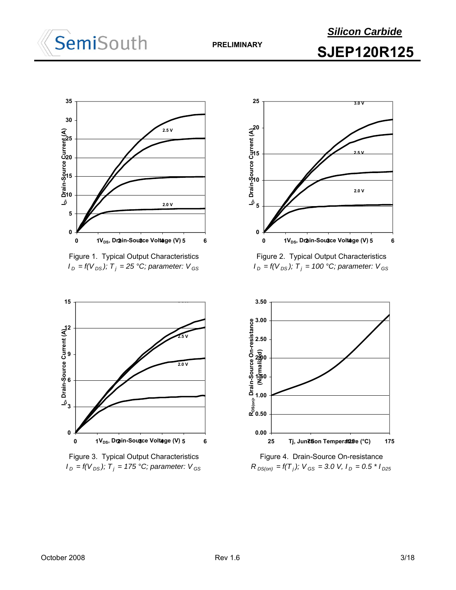

## **SJEP120R125** *Silicon Carbide*



Figure 1. Typical Output Characteristics



Figure 3. Typical Output Characteristics  $I_D = f(V_{DS})$ ;  $T_i = 175$  °C; parameter:  $V_{GS}$ 



 $I_D = f(V_{DS})$ ;  $T_j = 25 \text{ °C}$ ; parameter:  $V_{GS}$   $I_D = f(V_{DS})$ ;  $T_j = 100 \text{ °C}$ ; parameter:  $V_{GS}$ Figure 2. Typical Output Characteristics



 $R_{DS(on)} = f(T_i)$ ;  $V_{GS} = 3.0$  V,  $I_D = 0.5$  \*  $I_{D25}$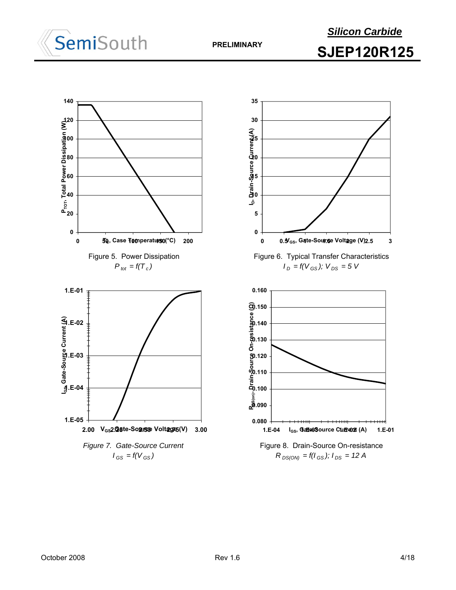

## **SJEP120R125**



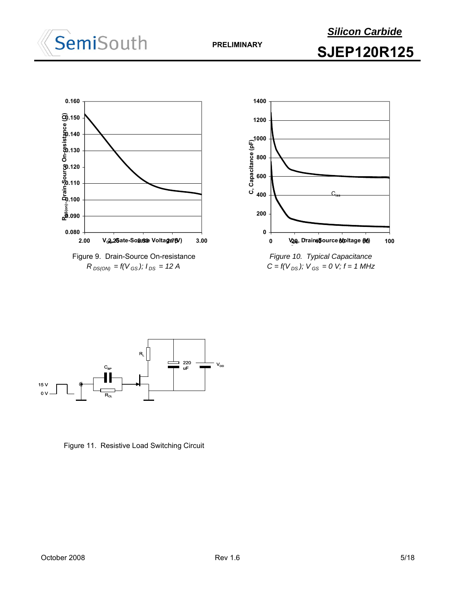

## **SJEP120R125**



 $R_{DS(ON)} = f(V_{GS})$ ;  $I_{DS} = 12$  A Figure 9. Drain-Source On-resistance



*Figure 10. Typical Capacitance*  $C = f(V_{DS})$ ;  $V_{GS} = 0$  V;  $f = 1$  MHz



Figure 11. Resistive Load Switching Circuit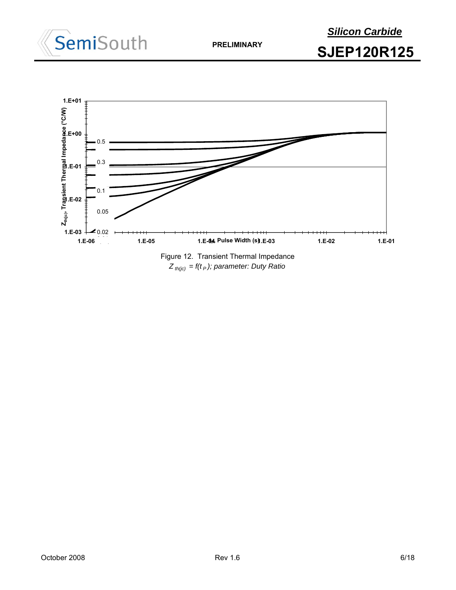

**PRELIMINARY**

*Silicon Carbide*

**SJEP120R125**



*Z th(jc) = f(t <sup>P</sup> ); parameter: Duty Ratio*

October 2008 6/18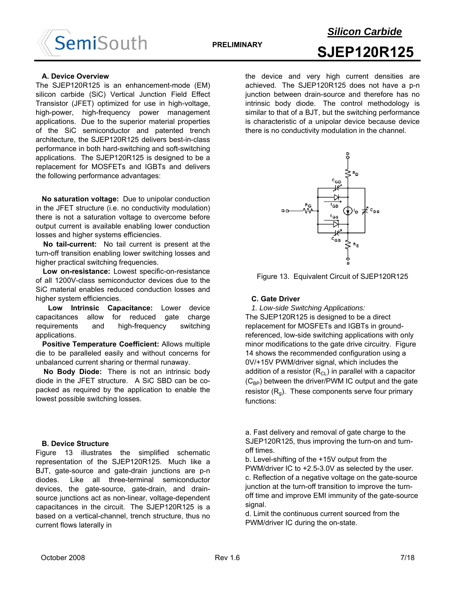

# **SJEP120R125**

*Silicon Carbide*

#### **A. Device Overview**

The SJEP120R125 is an enhancement-mode (EM) silicon carbide (SiC) Vertical Junction Field Effect Transistor (JFET) optimized for use in high-voltage, high-power, high-frequency power management applications. Due to the superior material properties of the SiC semiconductor and patented trench architecture, the SJEP120R125 delivers best-in-class performance in both hard-switching and soft-switching applications. The SJEP120R125 is designed to be a replacement for MOSFETs and IGBTs and delivers the following performance advantages:

**No saturation voltage:** Due to unipolar conduction in the JFET structure (i.e. no conductivity modulation) there is not a saturation voltage to overcome before output current is available enabling lower conduction losses and higher systems efficiencies.

**No tail-current:** No tail current is present at the turn-off transition enabling lower switching losses and higher practical switching frequencies.

**Low on-resistance:** Lowest specific-on-resistance of all 1200V-class semiconductor devices due to the SiC material enables reduced conduction losses and higher system efficiencies.

**Low Intrinsic Capacitance:** Lower device capacitances allow for reduced gate charge requirements and high-frequency switching applications.

**Positive Temperature Coefficient:** Allows multiple die to be paralleled easily and without concerns for unbalanced current sharing or thermal runaway.

**No Body Diode:** There is not an intrinsic body diode in the JFET structure. A SiC SBD can be copacked as required by the application to enable the lowest possible switching losses.

#### **B. Device Structure**

Figure 13 illustrates the simplified schematic representation of the SJEP120R125. Much like a BJT, gate-source and gate-drain junctions are p-n diodes. Like all three-terminal semiconductor devices, the gate-source, gate-drain, and drainsource junctions act as non-linear, voltage-dependent capacitances in the circuit. The SJEP120R125 is a based on a vertical-channel, trench structure, thus no current flows laterally in

the device and very high current densities are achieved. The SJEP120R125 does not have a p-n junction between drain-source and therefore has no intrinsic body diode. The control methodology is similar to that of a BJT, but the switching performance is characteristic of a unipolar device because device there is no conductivity modulation in the channel.



Figure 13. Equivalent Circuit of SJEP120R125

#### **C. Gate Driver**

 *1. Low-side Switching Applications:* The SJEP120R125 is designed to be a direct replacement for MOSFETs and IGBTs in groundreferenced, low-side switching applications with only minor modifications to the gate drive circuitry. Figure 14 shows the recommended configuration using a 0V/+15V PWM/driver signal, which includes the addition of a resistor  $(R<sub>CL</sub>)$  in parallel with a capacitor  $(C_{BP})$  between the driver/PWM IC output and the gate resistor  $(R<sub>0</sub>)$ . These components serve four primary functions:

a. Fast delivery and removal of gate charge to the SJEP120R125, thus improving the turn-on and turnoff times.

b. Level-shifting of the +15V output from the PWM/driver IC to +2.5-3.0V as selected by the user. c. Reflection of a negative voltage on the gate-source junction at the turn-off transition to improve the turnoff time and improve EMI immunity of the gate-source signal.

d. Limit the continuous current sourced from the PWM/driver IC during the on-state.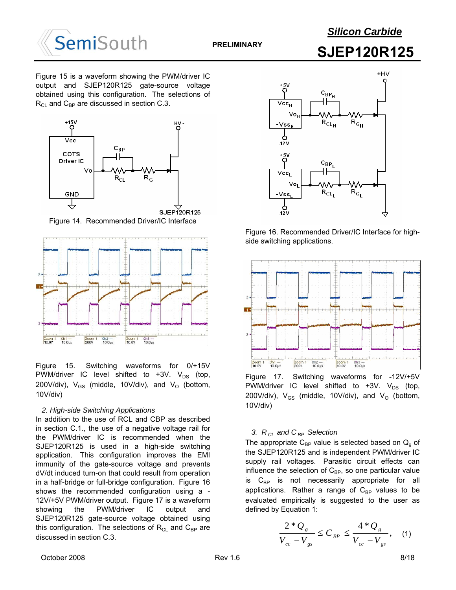

**PRELIMINARY**

### *Silicon Carbide*

## **SJEP120R125**

Figure 15 is a waveform showing the PWM/driver IC output and SJEP120R125 gate-source voltage obtained using this configuration. The selections of  $R_{\text{Cl}}$  and  $C_{\text{BP}}$  are discussed in section C.3.



Figure 14. Recommended Driver/IC Interface



Figure 15. Switching waveforms for 0/+15V PWM/driver IC level shifted to +3V.  $V_{DS}$  (top, 200V/div),  $V_{GS}$  (middle, 10V/div), and  $V_{O}$  (bottom, 10V/div)

#### *2. High-side Switching Applications*

In addition to the use of RCL and CBP as described in section C.1., the use of a negative voltage rail for the PWM/driver IC is recommended when the SJEP120R125 is used in a high-side switching application. This configuration improves the EMI immunity of the gate-source voltage and prevents dV/dt induced turn-on that could result from operation in a half-bridge or full-bridge configuration. Figure 16 shows the recommended configuration using a - 12V/+5V PWM/driver output. Figure 17 is a waveform showing the PWM/driver IC output and SJEP120R125 gate-source voltage obtained using this configuration. The selections of  $R_{CL}$  and  $C_{BP}$  are discussed in section C.3.



Figure 16. Recommended Driver/IC Interface for highside switching applications.



Figure 17. Switching waveforms for -12V/+5V PWM/driver IC level shifted to +3V.  $V_{DS}$  (top, 200V/div),  $V_{GS}$  (middle, 10V/div), and  $V_{O}$  (bottom, 10V/div)

#### *3. R CL and C BP Selection*

The appropriate  $C_{BP}$  value is selected based on  $Q_q$  of the SJEP120R125 and is independent PWM/driver IC supply rail voltages. Parasitic circuit effects can influence the selection of  $C_{BP}$ , so one particular value is  $C_{BP}$  is not necessarily appropriate for all applications. Rather a range of  $C_{BP}$  values to be evaluated empirically is suggested to the user as defined by Equation 1:

$$
\frac{2 \cdot \mathcal{Q}_{g}}{V_{cc} - V_{gs}} \leq C_{BP} \leq \frac{4 \cdot \mathcal{Q}_{g}}{V_{cc} - V_{gs}}, \quad (1)
$$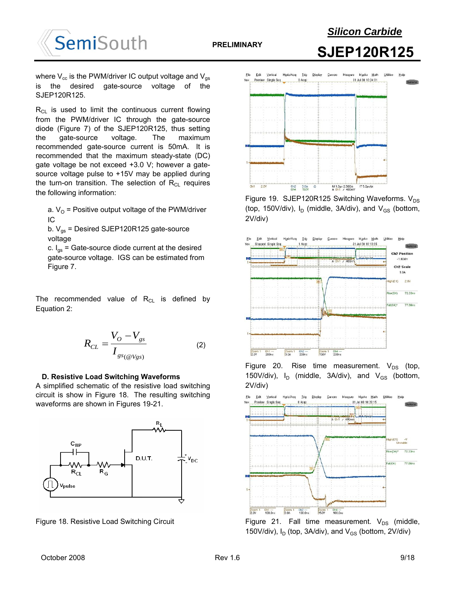

where  $V_{\text{cc}}$  is the PWM/driver IC output voltage and  $V_{\text{gs}}$ is the desired gate-source voltage of the SJEP120R125.

 $R_{CL}$  is used to limit the continuous current flowing from the PWM/driver IC through the gate-source diode (Figure 7) of the SJEP120R125, thus setting the gate-source voltage. The maximum recommended gate-source current is 50mA. It is recommended that the maximum steady-state (DC) gate voltage be not exceed +3.0 V; however a gatesource voltage pulse to +15V may be applied during the turn-on transition. The selection of  $R_{CL}$  requires the following information:

a.  $V_{\text{O}}$  = Positive output voltage of the PWM/driver IC

b.  $V_{gs}$  = Desired SJEP120R125 gate-source voltage

c.  $I_{qs}$  = Gate-source diode current at the desired gate-source voltage. IGS can be estimated from Figure 7.

The recommended value of  $R_{CL}$  is defined by Equation 2:

$$
R_{CL} = \frac{V_O - V_{gs}}{I_{gs(\text{eVgs})}}
$$
 (2)

#### **D. Resistive Load Switching Waveforms**

A simplified schematic of the resistive load switching circuit is show in Figure 18. The resulting switching waveforms are shown in Figures 19-21.



Figure 18. Resistive Load Switching Circuit



Figure 19. SJEP120R125 Switching Waveforms.  $V_{DS}$ (top, 150V/div),  $I_D$  (middle, 3A/div), and  $V_{GS}$  (bottom, 2V/div)



Figure 20. Rise time measurement.  $V_{DS}$  (top, 150V/div),  $I_D$  (middle, 3A/div), and  $V_{GS}$  (bottom, 2V/div)